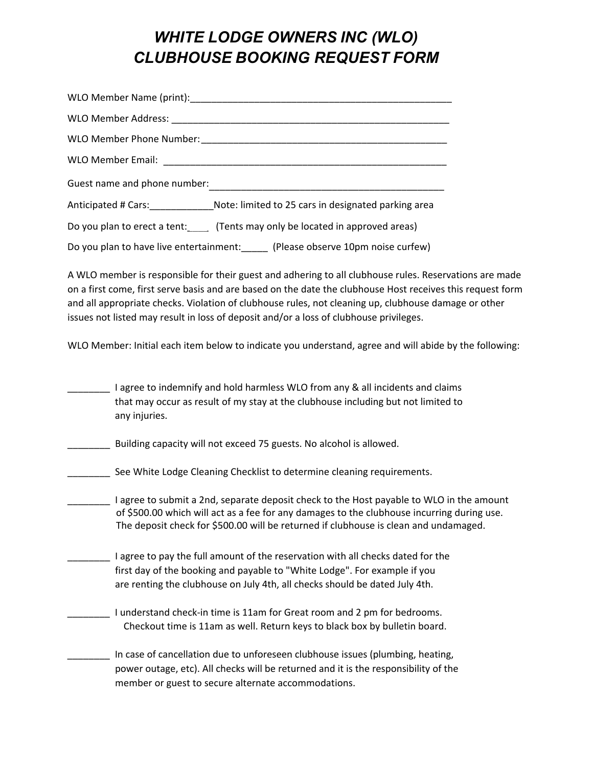## *WHITE LODGE OWNERS INC (WLO) CLUBHOUSE BOOKING REQUEST FORM*

| Guest name and phone number:                                                      |
|-----------------------------------------------------------------------------------|
| Anticipated # Cars: Note: limited to 25 cars in designated parking area           |
| Do you plan to erect a tent: (Tents may only be located in approved areas)        |
| Do you plan to have live entertainment: ______ (Please observe 10pm noise curfew) |

A WLO member is responsible for their guest and adhering to all clubhouse rules. Reservations are made on a first come, first serve basis and are based on the date the clubhouse Host receives this request form and all appropriate checks. Violation of clubhouse rules, not cleaning up, clubhouse damage or other issues not listed may result in loss of deposit and/or a loss of clubhouse privileges.

WLO Member: Initial each item below to indicate you understand, agree and will abide by the following:

I agree to indemnify and hold harmless WLO from any & all incidents and claims that may occur as result of my stay at the clubhouse including but not limited to any injuries.

Building capacity will not exceed 75 guests. No alcohol is allowed.

See White Lodge Cleaning Checklist to determine cleaning requirements.

\_\_\_\_\_\_\_\_ I agree to submit a 2nd, separate deposit check to the Host payable to WLO in the amount of \$500.00 which will act as a fee for any damages to the clubhouse incurring during use. The deposit check for \$500.00 will be returned if clubhouse is clean and undamaged.

\_\_\_\_\_\_\_\_ I agree to pay the full amount of the reservation with all checks dated for the first day of the booking and payable to "White Lodge". For example if you are renting the clubhouse on July 4th, all checks should be dated July 4th.

\_\_\_\_\_\_\_\_ I understand check-in time is 11am for Great room and 2 pm for bedrooms. Checkout time is 11am as well. Return keys to black box by bulletin board.

\_\_\_\_\_\_\_\_ In case of cancellation due to unforeseen clubhouse issues (plumbing, heating, power outage, etc). All checks will be returned and it is the responsibility of the member or guest to secure alternate accommodations.